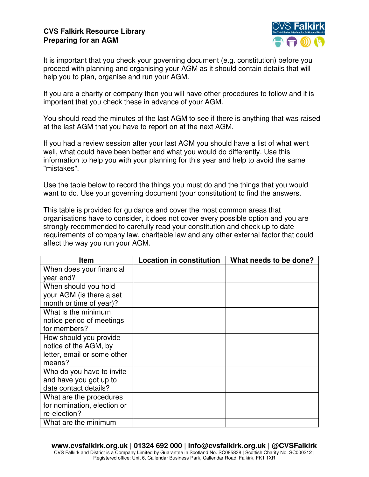## **CVS Falkirk Resource Library Preparing for an AGM**



It is important that you check your governing document (e.g. constitution) before you proceed with planning and organising your AGM as it should contain details that will help you to plan, organise and run your AGM.

If you are a charity or company then you will have other procedures to follow and it is important that you check these in advance of your AGM.

You should read the minutes of the last AGM to see if there is anything that was raised at the last AGM that you have to report on at the next AGM.

If you had a review session after your last AGM you should have a list of what went well, what could have been better and what you would do differently. Use this information to help you with your planning for this year and help to avoid the same "mistakes".

Use the table below to record the things you must do and the things that you would want to do. Use your governing document (your constitution) to find the answers.

This table is provided for guidance and cover the most common areas that organisations have to consider, it does not cover every possible option and you are strongly recommended to carefully read your constitution and check up to date requirements of company law, charitable law and any other external factor that could affect the way you run your AGM.

| <b>Item</b>                 | <b>Location in constitution</b> | What needs to be done? |
|-----------------------------|---------------------------------|------------------------|
| When does your financial    |                                 |                        |
| year end?                   |                                 |                        |
| When should you hold        |                                 |                        |
| your AGM (is there a set    |                                 |                        |
| month or time of year)?     |                                 |                        |
| What is the minimum         |                                 |                        |
| notice period of meetings   |                                 |                        |
| for members?                |                                 |                        |
| How should you provide      |                                 |                        |
| notice of the AGM, by       |                                 |                        |
| letter, email or some other |                                 |                        |
| means?                      |                                 |                        |
| Who do you have to invite   |                                 |                        |
| and have you got up to      |                                 |                        |
| date contact details?       |                                 |                        |
| What are the procedures     |                                 |                        |
| for nomination, election or |                                 |                        |
| re-election?                |                                 |                        |
| What are the minimum        |                                 |                        |